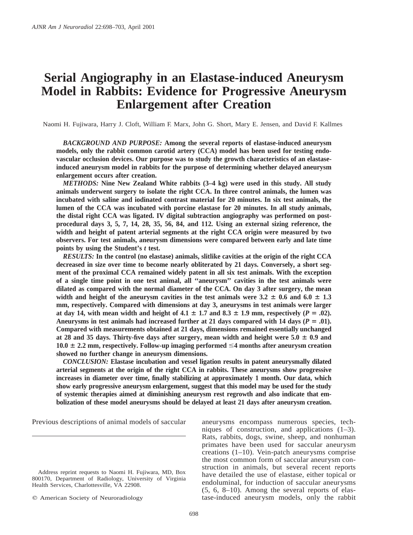# **Serial Angiography in an Elastase-induced Aneurysm Model in Rabbits: Evidence for Progressive Aneurysm Enlargement after Creation**

Naomi H. Fujiwara, Harry J. Cloft, William F. Marx, John G. Short, Mary E. Jensen, and David F. Kallmes

*BACKGROUND AND PURPOSE:* **Among the several reports of elastase-induced aneurysm models, only the rabbit common carotid artery (CCA) model has been used for testing endovascular occlusion devices. Our purpose was to study the growth characteristics of an elastaseinduced aneurysm model in rabbits for the purpose of determining whether delayed aneurysm enlargement occurs after creation.**

*METHODS:* **Nine New Zealand White rabbits (3–4 kg) were used in this study. All study animals underwent surgery to isolate the right CCA. In three control animals, the lumen was incubated with saline and iodinated contrast material for 20 minutes. In six test animals, the lumen of the CCA was incubated with porcine elastase for 20 minutes. In all study animals, the distal right CCA was ligated. IV digital subtraction angiography was performed on postprocedural days 3, 5, 7, 14, 28, 35, 56, 84, and 112. Using an external sizing reference, the width and height of patent arterial segments at the right CCA origin were measured by two observers. For test animals, aneurysm dimensions were compared between early and late time points by using the Student's** *t* **test.**

*RESULTS:* **In the control (no elastase) animals, slitlike cavities at the origin of the right CCA decreased in size over time to become nearly obliterated by 21 days. Conversely, a short segment of the proximal CCA remained widely patent in all six test animals. With the exception of a single time point in one test animal, all ''aneurysm'' cavities in the test animals were dilated as compared with the normal diameter of the CCA. On day 3 after surgery, the mean** width and height of the aneurysm cavities in the test animals were  $3.2 \pm 0.6$  and  $6.0 \pm 1.3$ **mm, respectively. Compared with dimensions at day 3, aneurysms in test animals were larger** at day 14, with mean width and height of 4.1  $\pm$  1.7 and 8.3  $\pm$  1.9 mm, respectively ( $P = .02$ ). Aneurysms in test animals had increased further at 21 days compared with 14 days ( $P = .01$ ). **Compared with measurements obtained at 21 days, dimensions remained essentially unchanged** at 28 and 35 days. Thirty-five days after surgery, mean width and height were  $5.0 \pm 0.9$  and  $10.0 \pm 2.2$  mm, respectively. Follow-up imaging performed  $\leq 4$  months after aneurysm creation **showed no further change in aneurysm dimensions.**

*CONCLUSION:* **Elastase incubation and vessel ligation results in patent aneurysmally dilated arterial segments at the origin of the right CCA in rabbits. These aneurysms show progressive increases in diameter over time, finally stabilizing at approximately 1 month. Our data, which show early progressive aneurysm enlargement, suggest that this model may be used for the study of systemic therapies aimed at diminishing aneurysm rest regrowth and also indicate that embolization of these model aneurysms should be delayed at least 21 days after aneurysm creation.**

Previous descriptions of animal models of saccular

aneurysms encompass numerous species, techniques of construction, and applications (1–3). Rats, rabbits, dogs, swine, sheep, and nonhuman primates have been used for saccular aneurysm creations (1–10). Vein-patch aneurysms comprise the most common form of saccular aneurysm construction in animals, but several recent reports have detailed the use of elastase, either topical or endoluminal, for induction of saccular aneurysms (5, 6, 8–10). Among the several reports of elastase-induced aneurysm models, only the rabbit

Address reprint requests to Naomi H. Fujiwara, MD, Box 800170, Department of Radiology, University of Virginia Health Services, Charlottesville, VA 22908.

 $©$  American Society of Neuroradiology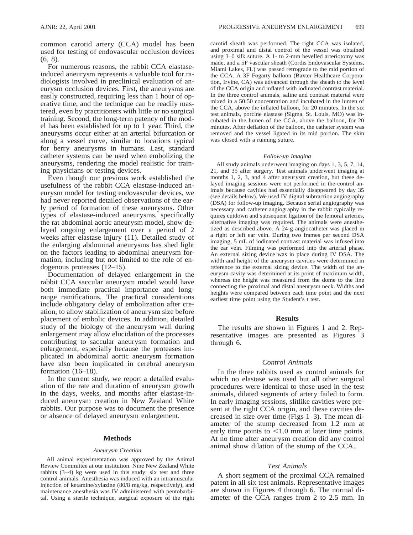common carotid artery (CCA) model has been used for testing of endovascular occlusion devices (6, 8).

For numerous reasons, the rabbit CCA elastaseinduced aneurysm represents a valuable tool for radiologists involved in preclinical evaluation of aneurysm occlusion devices. First, the aneurysms are easily constructed, requiring less than 1 hour of operative time, and the technique can be readily mastered, even by practitioners with little or no surgical training. Second, the long-term patency of the model has been established for up to 1 year. Third, the aneurysms occur either at an arterial bifurcation or along a vessel curve, similar to locations typical for berry aneurysms in humans. Last, standard catheter systems can be used when embolizing the aneurysms, rendering the model realistic for training physicians or testing devices.

Even though our previous work established the usefulness of the rabbit CCA elastase-induced aneurysm model for testing endovascular devices, we had never reported detailed observations of the early period of formation of these aneurysms. Other types of elastase-induced aneurysms, specifically the rat abdominal aortic aneurysm model, show delayed ongoing enlargement over a period of 2 weeks after elastase injury (11). Detailed study of the enlarging abdominal aneurysms has shed light on the factors leading to abdominal aneurysm formation, including but not limited to the role of endogenous proteases (12–15).

Documentation of delayed enlargement in the rabbit CCA saccular aneurysm model would have both immediate practical importance and longrange ramifications. The practical considerations include obligatory delay of embolization after creation, to allow stabilization of aneurysm size before placement of embolic devices. In addition, detailed study of the biology of the aneurysm wall during enlargement may allow elucidation of the processes contributing to saccular aneurysm formation and enlargement, especially because the proteases implicated in abdominal aortic aneurysm formation have also been implicated in cerebral aneurysm formation (16–18).

In the current study, we report a detailed evaluation of the rate and duration of aneurysm growth in the days, weeks, and months after elastase-induced aneurysm creation in New Zealand White rabbits. Our purpose was to document the presence or absence of delayed aneurysm enlargement.

### **Methods**

#### *Aneurysm Creation*

All animal experimentation was approved by the Animal Review Committee at our institution. Nine New Zealand White rabbits (3–4) kg were used in this study: six test and three control animals. Anesthesia was induced with an intramuscular injection of ketamine/xylazine (80/8 mg/kg, respectively), and maintenance anesthesia was IV administered with pentobarbital. Using a sterile technique, surgical exposure of the right carotid sheath was performed. The right CCA was isolated, and proximal and distal control of the vessel was obtained using 3–0 silk suture. A 1- to 2-mm bevelled arteriotomy was made, and a 5F vascular sheath (Cordis Endovascular Systems, Miami Lakes, FL) was passed retrograde to the mid portion of the CCA. A 3F Fogarty balloon (Baxter Healthcare Corporation, Irvine, CA) was advanced through the sheath to the level of the CCA origin and inflated with iodinated contrast material. In the three control animals, saline and contrast material were mixed in a 50:50 concentration and incubated in the lumen of the CCA, above the inflated balloon, for 20 minutes. In the six test animals, porcine elastase (Sigma, St. Louis, MO) was incubated in the lumen of the CCA, above the balloon, for 20 minutes. After deflation of the balloon, the catheter system was removed and the vessel ligated in its mid portion. The skin was closed with a running suture.

#### *Follow-up Imaging*

All study animals underwent imaging on days 1, 3, 5, 7, 14, 21, and 35 after surgery. Test animals underwent imaging at months 1, 2, 3, and 4 after aneurysm creation, but these delayed imaging sessions were not performed in the control animals because cavities had essentially disappeared by day 35 (see details below). We used IV digital subtraction angiography (DSA) for follow-up imaging. Because serial angiography was necessary and catheter angiography in the rabbit typically requires cutdown and subsequent ligation of the femoral arteries, alternative imaging was required. The animals were anesthetized as described above. A 24-g angiocatheter was placed in a right or left ear vein. During two frames per second DSA imaging, 5 mL of iodinated contrast material was infused into the ear vein. Filming was performed into the arterial phase. An external sizing device was in place during IV DSA. The width and height of the aneurysm cavities were determined in reference to the external sizing device. The width of the aneurysm cavity was determined at its point of maximum width, whereas the height was measured from the dome to the line connecting the proximal and distal aneurysm neck. Widths and heights were compared between each time point and the next earliest time point using the Student's *t* test.

#### **Results**

The results are shown in Figures 1 and 2. Representative images are presented as Figures 3 through 6.

### *Control Animals*

In the three rabbits used as control animals for which no elastase was used but all other surgical procedures were identical to those used in the test animals, dilated segments of artery failed to form. In early imaging sessions, slitlike cavities were present at the right CCA origin, and these cavities decreased in size over time (Figs 1–3). The mean diameter of the stump decreased from 1.2 mm at early time points to  $\leq 1.0$  mm at later time points. At no time after aneurysm creation did any control animal show dilation of the stump of the CCA.

## *Test Animals*

A short segment of the proximal CCA remained patent in all six test animals. Representative images are shown in Figures 4 through 6. The normal diameter of the CCA ranges from 2 to 2.5 mm. In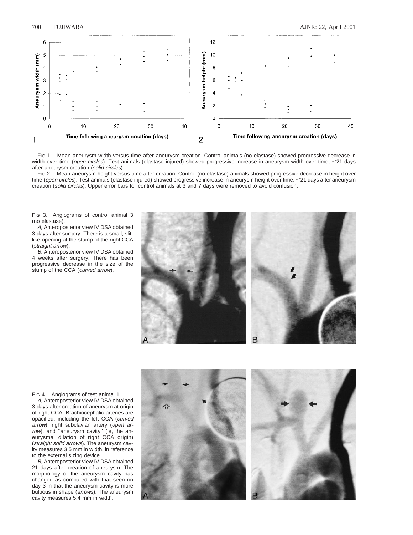

FIG 1. Mean aneurysm width versus time after aneurysm creation. Control animals (no elastase) showed progressive decrease in width over time (open circles). Test animals (elastase injured) showed progressive increase in aneurysm width over time,  $\leq$ 21 days after aneurysm creation (solid circles).

FIG 2. Mean aneurysm height versus time after creation. Control (no elastase) animals showed progressive decrease in height over time (open circles). Test animals (elastase injured) showed progressive increase in aneurysm height over time,  $\leq$ 21 days after aneurysm creation (solid circles). Upper error bars for control animals at 3 and 7 days were removed to avoid confusion.

Fig 3. Angiograms of control animal 3 (no elastase).

A, Anteroposterior view IV DSA obtained 3 days after surgery. There is a small, slitlike opening at the stump of the right CCA (straight arrow).

B, Anteroposterior view IV DSA obtained 4 weeks after surgery. There has been progressive decrease in the size of the stump of the CCA (curved arrow).



FIG 4. Angiograms of test animal 1.

A, Anteroposterior view IV DSA obtained 3 days after creation of aneurysm at origin of right CCA. Brachiocephalic arteries are opacified, including the left CCA (curved arrow), right subclavian artery (open arrow), and "aneurysm cavity" (ie, the aneurysmal dilation of right CCA origin) (straight solid arrows). The aneurysm cavity measures 3.5 mm in width, in reference to the external sizing device.

B, Anteroposterior view IV DSA obtained 21 days after creation of aneurysm. The morphology of the aneurysm cavity has changed as compared with that seen on day 3 in that the aneurysm cavity is more bulbous in shape (arrows). The aneurysm cavity measures 5.4 mm in width.

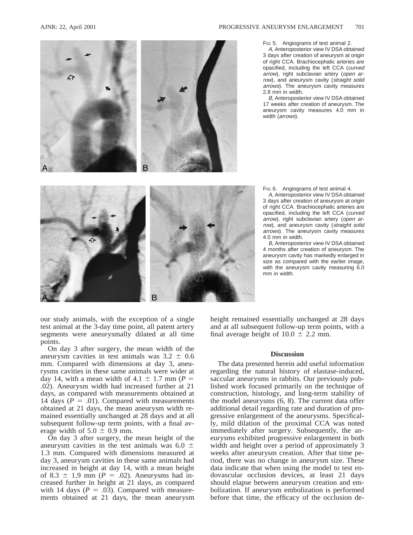

# FIG 5. Angiograms of test animal 2.

A, Anteroposterior view IV DSA obtained 3 days after creation of aneurysm at origin of right CCA. Brachiocephalic arteries are opacified, including the left CCA (curved arrow), right subclavian artery (open arrow), and aneurysm cavity (straight solid arrows). The aneurysm cavity measures 2.8 mm in width.

B, Anteroposterior view IV DSA obtained 17 weeks after creation of aneurysm. The aneurysm cavity measures 4.0 mm in width *(arrows)*.



FIG 6. Angiograms of test animal 4.

A, Anteroposterior view IV DSA obtained 3 days after creation of aneurysm at origin of right CCA. Brachiocephalic arteries are opacified, including the left CCA (curved arrow), right subclavian artery (open arrow), and aneurysm cavity (straight solid arrows). The aneurysm cavity measures 4.0 mm in width.

B, Anteroposterior view IV DSA obtained 4 months after creation of aneurysm. The aneurysm cavity has markedly enlarged in size as compared with the earlier image, with the aneurysm cavity measuring 6.0 mm in width.

our study animals, with the exception of a single test animal at the 3-day time point, all patent artery segments were aneurysmally dilated at all time points.

On day 3 after surgery, the mean width of the aneurysm cavities in test animals was  $3.2 \pm 0.6$ mm. Compared with dimensions at day 3, aneurysms cavities in these same animals were wider at day 14, with a mean width of 4.1  $\pm$  1.7 mm (*P* = .02). Aneurysm width had increased further at 21 days, as compared with measurements obtained at 14 days  $(P = .01)$ . Compared with measurements obtained at 21 days, the mean aneurysm width remained essentially unchanged at 28 days and at all subsequent follow-up term points, with a final average width of  $5.0 \pm 0.9$  mm.

On day 3 after surgery, the mean height of the aneurysm cavities in the test animals was 6.0  $\pm$ 1.3 mm. Compared with dimensions measured at day 3, aneurysm cavities in these same animals had increased in height at day 14, with a mean height of 8.3  $\pm$  1.9 mm ( $P = .02$ ). Aneurysms had increased further in height at 21 days, as compared with 14 days  $(P = .03)$ . Compared with measurements obtained at 21 days, the mean aneurysm height remained essentially unchanged at 28 days and at all subsequent follow-up term points, with a final average height of  $10.0 \pm 2.2$  mm.

# **Discussion**

The data presented herein add useful information regarding the natural history of elastase-induced, saccular aneurysms in rabbits. Our previously published work focused primarily on the technique of construction, histology, and long-term stability of the model aneurysms (6, 8). The current data offer additional detail regarding rate and duration of progressive enlargement of the aneurysms. Specifically, mild dilation of the proximal CCA was noted immediately after surgery. Subsequently, the aneurysms exhibited progressive enlargement in both width and height over a period of approximately 3 weeks after aneurysm creation. After that time period, there was no change in aneurysm size. These data indicate that when using the model to test endovascular occlusion devices, at least 21 days should elapse between aneurysm creation and embolization. If aneurysm embolization is performed before that time, the efficacy of the occlusion de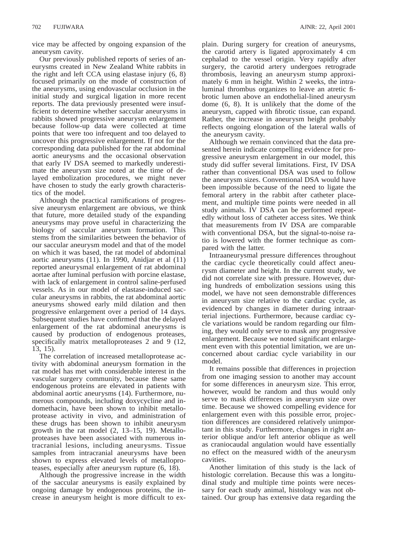vice may be affected by ongoing expansion of the aneurysm cavity.

Our previously published reports of series of aneurysms created in New Zealand White rabbits in the right and left CCA using elastase injury (6, 8) focused primarily on the mode of construction of the aneurysms, using endovascular occlusion in the initial study and surgical ligation in more recent reports. The data previously presented were insufficient to determine whether saccular aneurysms in rabbits showed progressive aneurysm enlargement because follow-up data were collected at time points that were too infrequent and too delayed to uncover this progressive enlargement. If not for the corresponding data published for the rat abdominal aortic aneurysms and the occasional observation that early IV DSA seemed to markedly underestimate the aneurysm size noted at the time of delayed embolization procedures, we might never have chosen to study the early growth characteristics of the model.

Although the practical ramifications of progressive aneurysm enlargement are obvious, we think that future, more detailed study of the expanding aneurysms may prove useful in characterizing the biology of saccular aneurysm formation. This stems from the similarities between the behavior of our saccular aneurysm model and that of the model on which it was based, the rat model of abdominal aortic aneurysms (11). In 1990, Anidjar et al (11) reported aneurysmal enlargement of rat abdominal aortae after luminal perfusion with porcine elastase, with lack of enlargement in control saline-perfused vessels. As in our model of elastase-induced saccular aneurysms in rabbits, the rat abdominal aortic aneurysms showed early mild dilation and then progressive enlargement over a period of 14 days. Subsequent studies have confirmed that the delayed enlargement of the rat abdominal aneurysms is caused by production of endogenous proteases, specifically matrix metalloproteases 2 and 9 (12, 13, 15).

The correlation of increased metalloprotease activity with abdominal aneurysm formation in the rat model has met with considerable interest in the vascular surgery community, because these same endogenous proteins are elevated in patients with abdominal aortic aneurysms (14). Furthermore, numerous compounds, including doxycycline and indomethacin, have been shown to inhibit metalloprotease activity in vivo, and administration of these drugs has been shown to inhibit aneurysm growth in the rat model (2, 13–15, 19). Metalloproteases have been associated with numerous intracranial lesions, including aneurysms. Tissue samples from intracranial aneurysms have been shown to express elevated levels of metalloproteases, especially after aneurysm rupture (6, 18).

Although the progressive increase in the width of the saccular aneurysms is easily explained by ongoing damage by endogenous proteins, the increase in aneurysm height is more difficult to explain. During surgery for creation of aneurysms, the carotid artery is ligated approximately 4 cm cephalad to the vessel origin. Very rapidly after surgery, the carotid artery undergoes retrograde thrombosis, leaving an aneurysm stump approximately 6 mm in height. Within 2 weeks, the intraluminal thrombus organizes to leave an atretic fibrotic lumen above an endothelial-lined aneurysm dome (6, 8). It is unlikely that the dome of the aneurysm, capped with fibrotic tissue, can expand. Rather, the increase in aneurysm height probably reflects ongoing elongation of the lateral walls of the aneurysm cavity.

Although we remain convinced that the data presented herein indicate compelling evidence for progressive aneurysm enlargement in our model, this study did suffer several limitations. First, IV DSA rather than conventional DSA was used to follow the aneurysm sizes. Conventional DSA would have been impossible because of the need to ligate the femoral artery in the rabbit after catheter placement, and multiple time points were needed in all study animals. IV DSA can be performed repeatedly without loss of catheter access sites. We think that measurements from IV DSA are comparable with conventional DSA, but the signal-to-noise ratio is lowered with the former technique as compared with the latter.

Intraaneurysmal pressure differences throughout the cardiac cycle theoretically could affect aneurysm diameter and height. In the current study, we did not correlate size with pressure. However, during hundreds of embolization sessions using this model, we have not seen demonstrable differences in aneurysm size relative to the cardiac cycle, as evidenced by changes in diameter during intraarterial injections. Furthermore, because cardiac cycle variations would be random regarding our filming, they would only serve to mask any progressive enlargement. Because we noted significant enlargement even with this potential limitation, we are unconcerned about cardiac cycle variability in our model.

It remains possible that differences in projection from one imaging session to another may account for some differences in aneurysm size. This error, however, would be random and thus would only serve to mask differences in aneurysm size over time. Because we showed compelling evidence for enlargement even with this possible error, projection differences are considered relatively unimportant in this study. Furthermore, changes in right anterior oblique and/or left anterior oblique as well as craniocaudal angulation would have essentially no effect on the measured width of the aneurysm cavities.

Another limitation of this study is the lack of histologic correlation. Because this was a longitudinal study and multiple time points were necessary for each study animal, histology was not obtained. Our group has extensive data regarding the